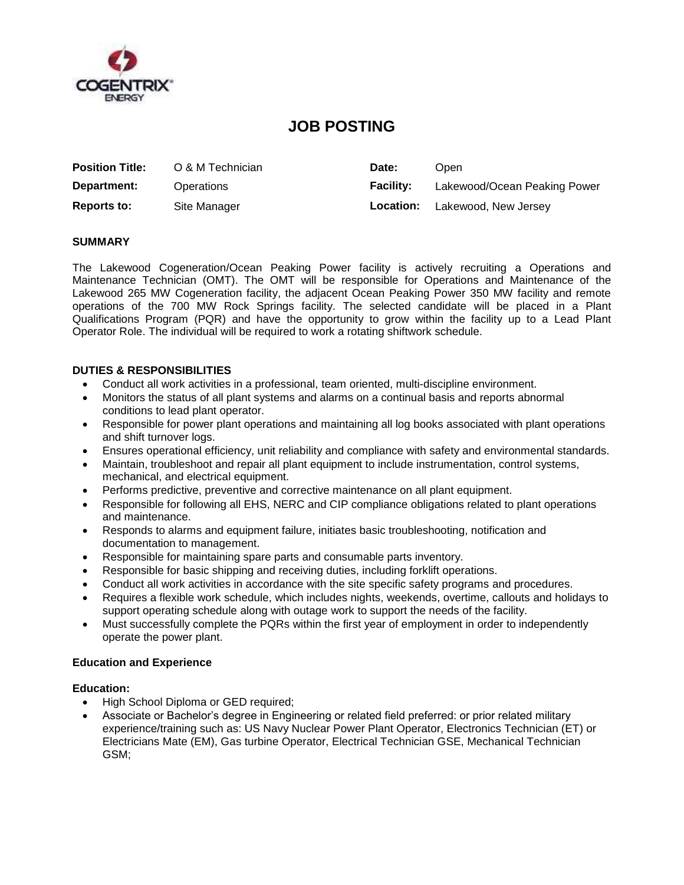

# **JOB POSTING**

| <b>Position Title:</b> | O & M Technician | Date:            | Open                         |
|------------------------|------------------|------------------|------------------------------|
| Department:            | Operations       | <b>Facility:</b> | Lakewood/Ocean Peaking Power |
| <b>Reports to:</b>     | Site Manager     | Location:        | Lakewood, New Jersey         |

#### **SUMMARY**

The Lakewood Cogeneration/Ocean Peaking Power facility is actively recruiting a Operations and Maintenance Technician (OMT). The OMT will be responsible for Operations and Maintenance of the Lakewood 265 MW Cogeneration facility, the adjacent Ocean Peaking Power 350 MW facility and remote operations of the 700 MW Rock Springs facility. The selected candidate will be placed in a Plant Qualifications Program (PQR) and have the opportunity to grow within the facility up to a Lead Plant Operator Role. The individual will be required to work a rotating shiftwork schedule.

#### **DUTIES & RESPONSIBILITIES**

- Conduct all work activities in a professional, team oriented, multi-discipline environment.
- Monitors the status of all plant systems and alarms on a continual basis and reports abnormal conditions to lead plant operator.
- Responsible for power plant operations and maintaining all log books associated with plant operations and shift turnover logs.
- Ensures operational efficiency, unit reliability and compliance with safety and environmental standards.
- Maintain, troubleshoot and repair all plant equipment to include instrumentation, control systems, mechanical, and electrical equipment.
- Performs predictive, preventive and corrective maintenance on all plant equipment.
- Responsible for following all EHS, NERC and CIP compliance obligations related to plant operations and maintenance.
- Responds to alarms and equipment failure, initiates basic troubleshooting, notification and documentation to management.
- Responsible for maintaining spare parts and consumable parts inventory.
- Responsible for basic shipping and receiving duties, including forklift operations.
- Conduct all work activities in accordance with the site specific safety programs and procedures.
- Requires a flexible work schedule, which includes nights, weekends, overtime, callouts and holidays to support operating schedule along with outage work to support the needs of the facility.
- Must successfully complete the PQRs within the first year of employment in order to independently operate the power plant.

#### **Education and Experience**

#### **Education:**

- High School Diploma or GED required;
- Associate or Bachelor's degree in Engineering or related field preferred: or prior related military experience/training such as: US Navy Nuclear Power Plant Operator, Electronics Technician (ET) or Electricians Mate (EM), Gas turbine Operator, Electrical Technician GSE, Mechanical Technician GSM;